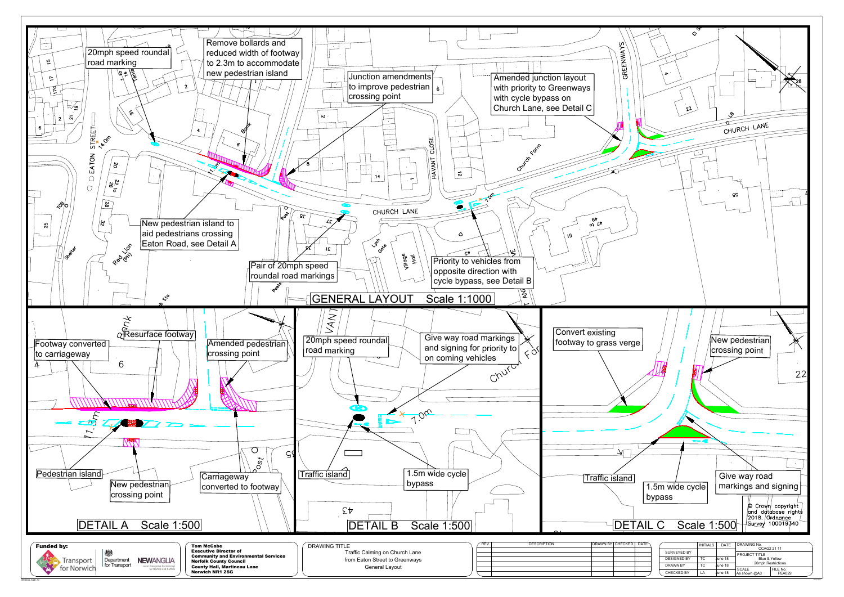